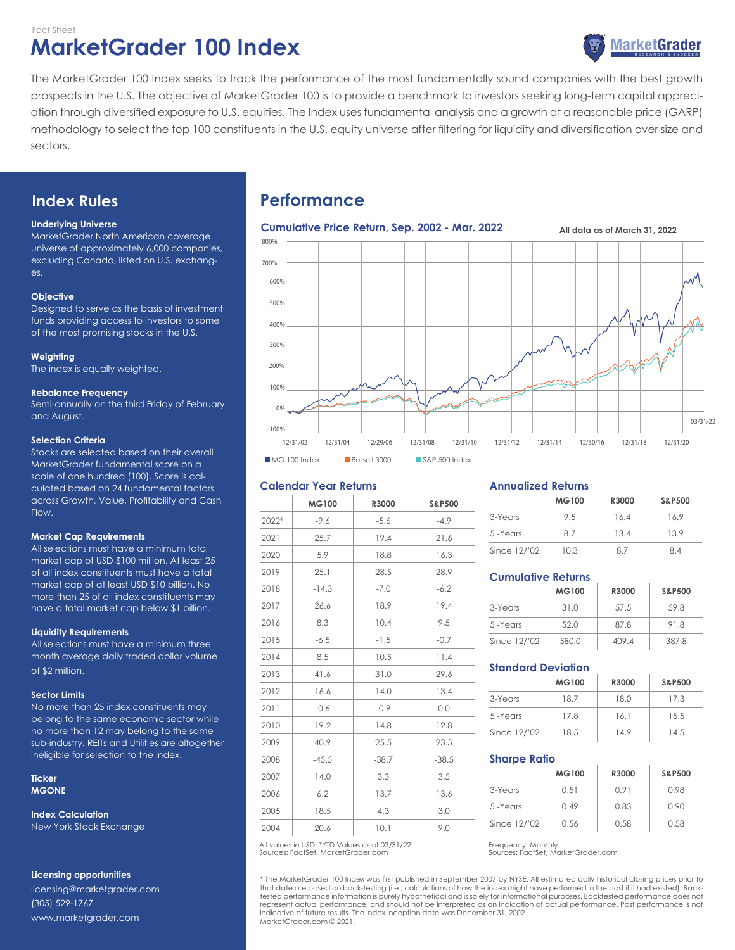# **MarketGrader 100 Index** Fact Sheet



The MarketGrader 100 Index seeks to track the performance of the most fundamentally sound companies with the best growth prospects in the U.S. The objective of MarketGrader 100 is to provide a benchmark to investors seeking long-term capital appreciation through diversified exposure to U.S. equities. The Index uses fundamental analysis and a growth at a reasonable price (GARP) methodology to select the top 100 constituents in the U.S. equity universe after filtering for liquidity and diversification over size and sectors.

# **Index Rules**

### **Underlying Universe**

MarketGrader North American coverage universe of approximately 6,000 companies, excluding Canada, listed on U.S. exchanges.

### **Objective**

Designed to serve as the basis of investment funds providing access to investors to some of the most promising stocks in the U.S.

#### **Weighting**

The index is equally weighted.

#### **Rebalance Frequency**

Semi-annually on the third Friday of February and August.

### **Selection Criteria**

Stocks are selected based on their overall MarketGrader fundamental score on a scale of one hundred (100). Score is calculated based on 24 fundamental factors across Growth, Value, Profitability and Cash Flow.

#### **Market Cap Requirements**

All selections must have a minimum total market cap of USD \$100 million. At least 25 of all index constituents must have a total market cap of at least USD \$10 billion. No more than 25 of all index constituents may have a total market cap below \$1 billion.

#### **Liquidity Requirements**

All selections must have a minimum three month average daily traded dollar volume of \$2 million.

#### **Sector Limits**

No more than 25 index constituents may belong to the same economic sector while no more than 12 may belong to the same sub-industry. REITs and Utilities are altogether ineligible for selection to the index.

#### **Ticker MGONE**

**Index Calculation** New York Stock Exchange

## **Licensing opportunities**

licensing@marketgrader.com (305) 529-1767 www.marketgrader.com

# **Performance**



## **Calendar Year Returns**

|       | <b>MG100</b> | R3000   | <b>S&amp;P500</b> |
|-------|--------------|---------|-------------------|
| 2022* | $-9.6$       | $-5.6$  | $-4.9$            |
| 2021  | 25.7         | 19.4    | 21.6              |
| 2020  | 5.9          | 18.8    | 16.3              |
| 2019  | 25.1         | 28.5    | 28.9              |
| 2018  | $-14.3$      | $-7.0$  | $-6.2$            |
| 2017  | 26.6         | 18.9    | 19.4              |
| 2016  | 8.3          | 10.4    | 9.5               |
| 2015  | $-6.5$       | $-1.5$  | $-0.7$            |
| 2014  | 8.5          | 10.5    | 11.4              |
| 2013  | 41.6         | 31.0    | 29.6              |
| 2012  | 16.6         | 14.0    | 13.4              |
| 2011  | $-0.6$       | $-0.9$  | 0.0               |
| 2010  | 19.2         | 14.8    | 12.8              |
| 2009  | 40.9         | 25.5    | 23.5              |
| 2008  | $-45.5$      | $-38.7$ | $-38.5$           |
| 2007  | 14.0         | 3.3     | 3.5               |
| 2006  | 6.2          | 13.7    | 13.6              |
| 2005  | 18.5         | 4.3     | 3.0               |
| 2004  | 20.6         | 10.1    | 9.0               |

#### Sources: FactSet, MarketGrader.com All values in USD. \*YTD Values as of 03/31/22.

## **Annualized Returns**

|              | MG100 | R3000 | <b>S&amp;P500</b> |
|--------------|-------|-------|-------------------|
| 3-Years      | 9.5   | 16.4  | 16.9              |
| 5-Years      | 87    | 134   | 13.9              |
| Since 12/'02 | 10.3  | 87    | 84                |

## **Cumulative Returns**

|              | <b>MG100</b> | R3000 | <b>S&amp;P500</b> |
|--------------|--------------|-------|-------------------|
| 3-Years      | 31.0         | 57.5  | 59.8              |
| 5-Years      | 52.0         | 878   | 918               |
| Since 12/'02 | 580.0        | 409.4 | 387.8             |

## **Standard Deviation**

|              | MG100 | R3000 | <b>S&amp;P500</b> |
|--------------|-------|-------|-------------------|
| 3-Years      | 18 7  | 18.0  | 17.3              |
| 5-Years      | 178   | 161   | 15.5              |
| Since 12/'02 | 18.5  | 149   | 14.5              |

#### **Sharpe Ratio**

|              | <b>MG100</b> | R3000 | <b>S&amp;P500</b> |
|--------------|--------------|-------|-------------------|
| 3-Years      | 0.51         | O 91  | 0.98              |
| 5-Years      | 0.49         | 0.83  | 0.90              |
| Since 12/'02 | 0.56         | 0.58  | 0.58              |

Frequency: Monthly. Sources: FactSet, MarketGrader.com

\* The MarketGrader 100 Index was first published in September 2007 by NYSE. All estimated daily historical closing prices prior to that date are based on back-testing (i.e., calculations of how the index might have performed in the past if it had existed). Back-<br>tested performance information is purely hypothetical and is solely for informational purp represent actual performance, and should not be interpreted as an indication of actual performance. Past performance is not indicative of future results. The index inception date was December 31, 2002. MarketGrader.com © 2021.